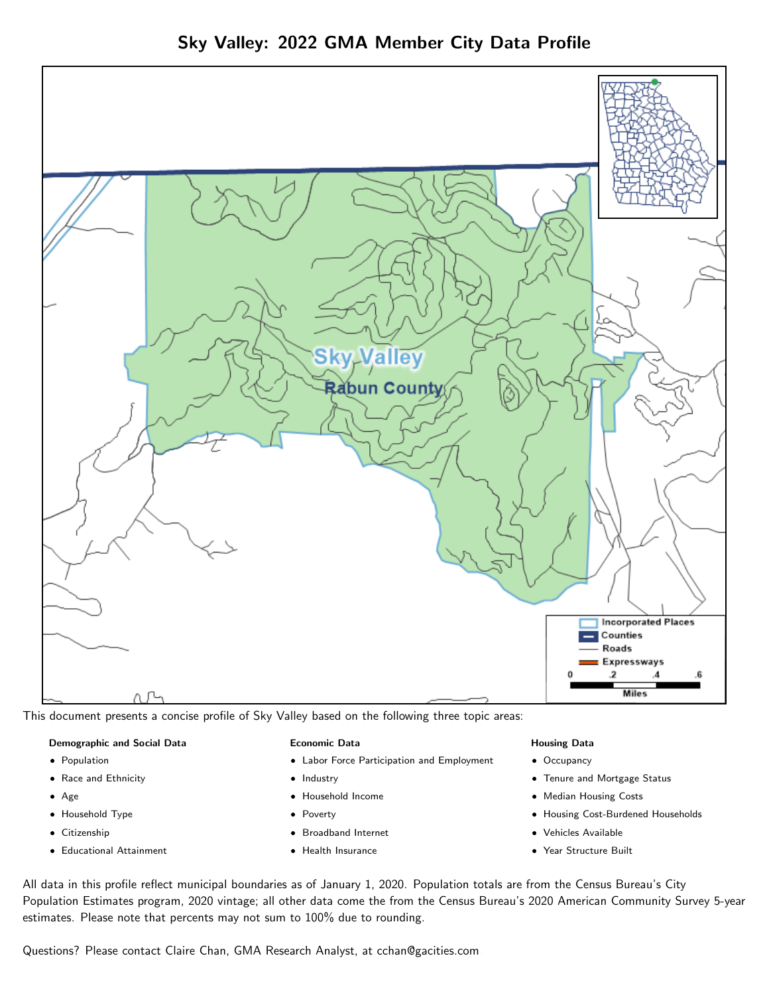

This document presents a concise profile of Sky Valley based on the following three topic areas:

#### Demographic and Social Data

- **•** Population
- Race and Ethnicity
- Age
- Household Type
- **Citizenship**
- Educational Attainment

#### Economic Data

- Labor Force Participation and Employment
- Industry
- Household Income
- Poverty
- Broadband Internet
- Health Insurance

#### Housing Data

- Occupancy
- Tenure and Mortgage Status
- Median Housing Costs
- Housing Cost-Burdened Households
- Vehicles Available
- Year Structure Built

All data in this profile reflect municipal boundaries as of January 1, 2020. Population totals are from the Census Bureau's City Population Estimates program, 2020 vintage; all other data come the from the Census Bureau's 2020 American Community Survey 5-year estimates. Please note that percents may not sum to 100% due to rounding.

Questions? Please contact Claire Chan, GMA Research Analyst, at [cchan@gacities.com.](mailto:cchan@gacities.com)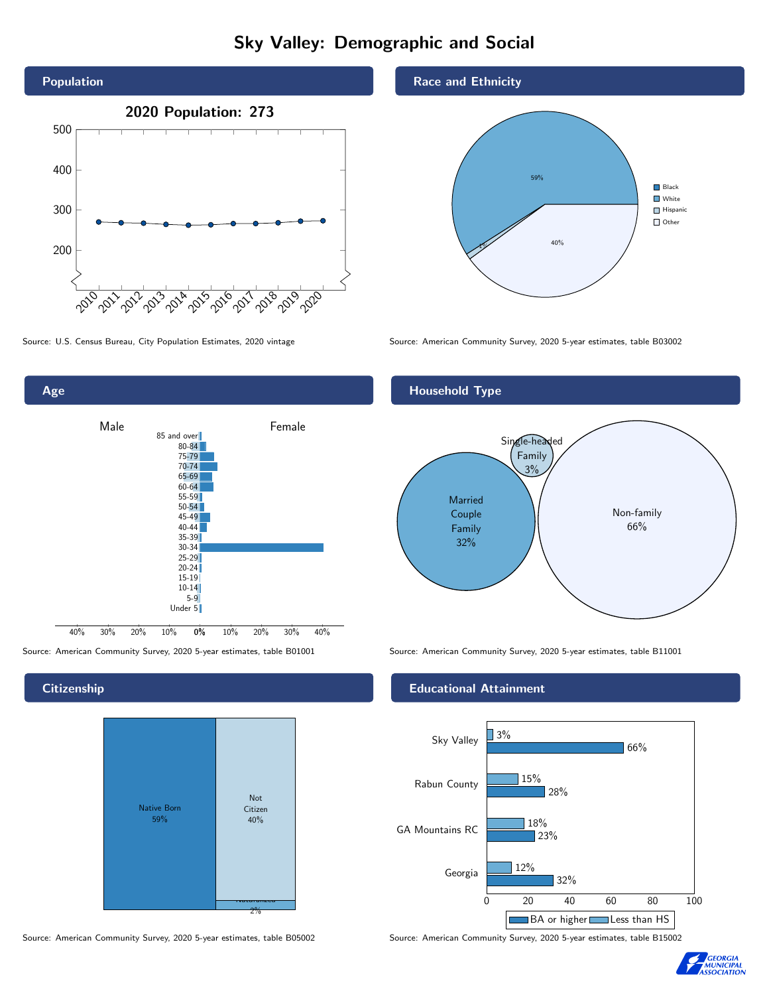# Sky Valley: Demographic and Social





**Citizenship** 



Source: American Community Survey, 2020 5-year estimates, table B05002 Source: American Community Survey, 2020 5-year estimates, table B15002

Race and Ethnicity



Source: U.S. Census Bureau, City Population Estimates, 2020 vintage Source: American Community Survey, 2020 5-year estimates, table B03002



Source: American Community Survey, 2020 5-year estimates, table B01001 Source: American Community Survey, 2020 5-year estimates, table B11001

### Educational Attainment



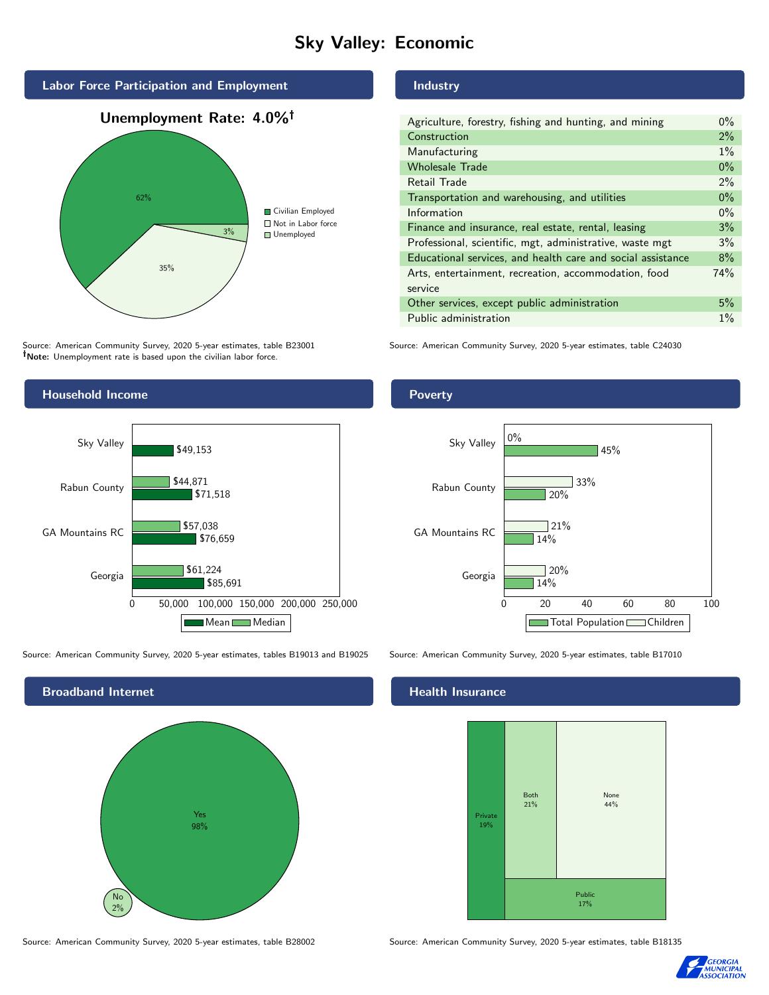# Sky Valley: Economic



Source: American Community Survey, 2020 5-year estimates, table B23001 Note: Unemployment rate is based upon the civilian labor force.



Source: American Community Survey, 2020 5-year estimates, tables B19013 and B19025 Source: American Community Survey, 2020 5-year estimates, table B17010



Source: American Community Survey, 2020 5-year estimates, table B28002 Source: American Community Survey, 2020 5-year estimates, table B18135

## Industry

| Agriculture, forestry, fishing and hunting, and mining      | $0\%$ |
|-------------------------------------------------------------|-------|
| Construction                                                | $2\%$ |
| Manufacturing                                               | $1\%$ |
| <b>Wholesale Trade</b>                                      | $0\%$ |
| Retail Trade                                                | $2\%$ |
| Transportation and warehousing, and utilities               | $0\%$ |
| Information                                                 | $0\%$ |
| Finance and insurance, real estate, rental, leasing         | 3%    |
| Professional, scientific, mgt, administrative, waste mgt    | 3%    |
| Educational services, and health care and social assistance | 8%    |
| Arts, entertainment, recreation, accommodation, food        | 74%   |
| service                                                     |       |
| Other services, except public administration                | 5%    |
| Public administration                                       | $1\%$ |

Source: American Community Survey, 2020 5-year estimates, table C24030

## Poverty



#### Health Insurance